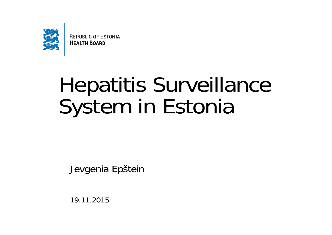

**REPUBLIC OF ESTONIA HEALTH BOARD** 

# Hepatitis Surveillance System in Estonia

Jevgenia Epštein

19.11.2015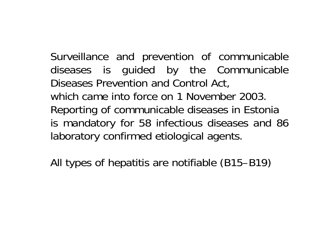Surveillance and prevention of communicable diseases is guided by the Communicable Diseases Prevention and Control Act, which came into force on 1 November 2003.Reporting of communicable diseases in Estonia is mandatory for 58 infectious diseases and 86 laboratory confirmed etiological agents.

All types of hepatitis are notifiable (B15–B19)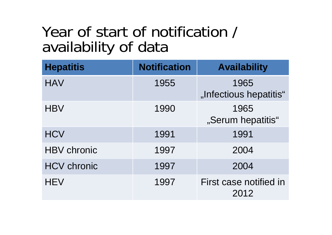### Year of start of notification / availability of data

| <b>Hepatitis</b>   | <b>Notification</b> | <b>Availability</b>            |
|--------------------|---------------------|--------------------------------|
| <b>HAV</b>         | 1955                | 1965<br>"Infectious hepatitis" |
| <b>HBV</b>         | 1990                | 1965<br>"Serum hepatitis"      |
| <b>HCV</b>         | 1991                | 1991                           |
| <b>HBV</b> chronic | 1997                | 2004                           |
| <b>HCV chronic</b> | 1997                | 2004                           |
| <b>HEV</b>         | 1997                | First case notified in<br>2012 |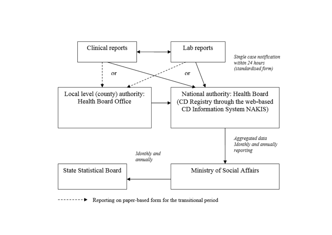

Reporting on paper-based form for the transitional period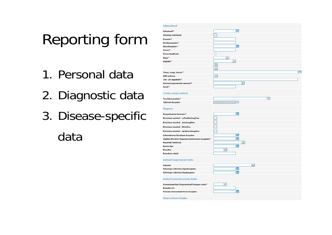## Reporting form

- 1. Personal data
- 2. Diagnostic data
- 3. Disease-specific data

| <b>Isikuandmed</b>                                |                                         |     |
|---------------------------------------------------|-----------------------------------------|-----|
| Isikukood*                                        | <b>RR</b>                               |     |
| Välisriigi isikukood                              | П                                       |     |
| Eesnimi <sup>*</sup>                              |                                         |     |
| Perekonnanimi*                                    |                                         |     |
| Sünnikuupäev <sup>*</sup>                         | 豐                                       |     |
| Vanus <sup>*</sup>                                |                                         |     |
| Vanus teadmata                                    | ┐                                       |     |
| Sugu <sup>*</sup>                                 | $\vee$                                  |     |
| Elukoht <sup>*</sup>                              | $\checkmark$<br>$\overline{\mathbf{v}}$ |     |
| Tänav, maja, korter*                              | $\vert \mathbf{v} \vert$                | ADS |
| <b>ADS</b> aadress                                | $\overline{\phantom{a}}$                |     |
| Töö- või õppekoht*                                |                                         |     |
| Sotsiaalmajanduslik seisund $\ast$                | $\overline{\mathsf{v}}$                 |     |
| Amet <sup>*</sup>                                 |                                         |     |
| Teatise esitaja andmed                            |                                         |     |
| Tervishoiuasutus*                                 | $\checkmark$                            |     |
| Täitmise kuupäev                                  | 16,11.2015<br>m                         |     |
| <b>Diagnoos</b>                                   |                                         |     |
| Haigestumise kuupäev*                             | 噩                                       |     |
| Kinnituse meetod - mikrobioloogiline              | $\Box$                                  |     |
| Kinnituse meetod - seroloogiline                  | $\overline{\Box}$                       |     |
| Kinnituse meetod - kliiniline                     | $\overline{\Box}$                       |     |
| Kinnituse meetod - epidemioloogiline              | $\Box$                                  |     |
| Laboratoorse kinnituse kuupäev                    | 豐                                       |     |
| Lõpliku kliinilise diagnoosi kinnitamise kuupäev* | m                                       |     |
| Hepatiidi levikutee                               | $\overline{\mathsf{v}}$                 |     |
| Surma kpv                                         | m                                       |     |
| <b>Rasedus</b><br>Raseduse nädal                  | $\vee$                                  |     |
|                                                   |                                         |     |
| Andmed haigestumise kohta                         |                                         |     |
| Välisriik                                         | $\overline{\mathbf{v}}$                 |     |
| Välisriigis viibimise alguskuupäev                | 腮                                       |     |
| Välisriigis viibimise lõpukuupäev                 | 鼺                                       |     |
| Andmed immuniseerimise kohta                      |                                         |     |
| Immuniseeritud diagnoositud haiguse vastu*        | $\checkmark$                            |     |
| <b>Dooside</b> arv                                |                                         |     |
| Viimase immuniseerimise kuupäev                   | m                                       |     |
| <b>Haige ravimine haiglas</b>                     |                                         |     |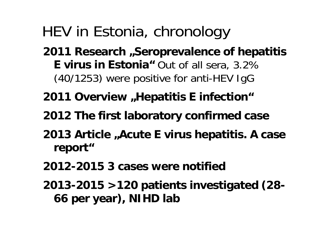## HEV in Estonia, chronology

- **2011 Research "Seroprevalence of hepatitis E virus in Estonia"** Out of all sera, 3.2% (40/1253) were positive for anti-HEV IgG
- **2011 Overview "Hepatitis E infection"**
- **2012 The first laboratory confirmed case**
- 2013 Article "Acute E virus hepatitis. A case **report"**
- **2012-2015 3 cases were notified**
- **2013-2015 >120 patients investigated (28- 66 per year), NIHD lab**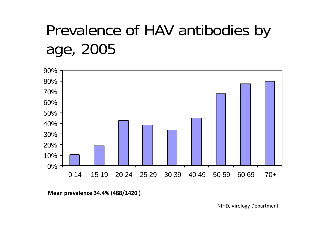# Prevalence of HAV antibodies by age, 2005



**Mean prevalence 34.4% (488/1420 )**

NIHD, Virology Department